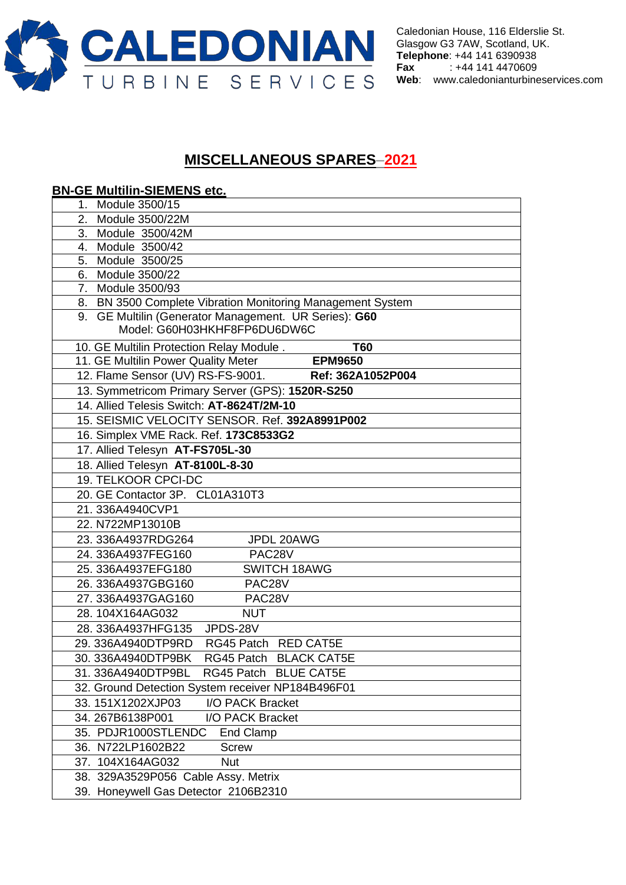

Caledonian House, 116 Elderslie St. Glasgow G3 7AW, Scotland, UK. **Telephone**: +44 141 6390938 **Fax** : +44 141 4470609 **Web**: [www.caledonianturbineservices.com](http://www.caledonianturbineservices.com/)

## **MISCELLANEOUS SPARES**–**2021**

## **BN-GE Multilin-SIEMENS etc.** 1. Module 3500/15 2. Module 3500/22M 3. Module 3500/42M 4. Module 3500/42 5. Module 3500/25 6. Module 3500/22 7. Module 3500/93 8. BN 3500 Complete Vibration Monitoring Management System 9. GE Multilin (Generator Management. UR Series): **G60** Model: G60H03HKHF8FP6DU6DW6C 10. GE Multilin Protection Relay Module . **T60**  11. GE Multilin Power Quality Meter **EPM9650**  12. Flame Sensor (UV) RS-FS-9001. **Ref: 362A1052P004**  13. Symmetricom Primary Server (GPS): **1520R-S250** 14. Allied Telesis Switch: **AT-8624T/2M-10**  15. SEISMIC VELOCITY SENSOR. Ref. **392A8991P002**  16. Simplex VME Rack. Ref. **173C8533G2** 17. Allied Telesyn **AT-FS705L-30** 18. Allied Telesyn **AT-8100L-8-30** 19. TELKOOR CPCI-DC 20. GE Contactor 3P. CL01A310T3 21. 336A4940CVP1 22. N722MP13010B 23. 336A4937RDG264 JPDL 20AWG 24. 336A4937FEG160 PAC28V 25. 336A4937EFG180 SWITCH 18AWG 26. 336A4937GBG160 PAC28V 27. 336A4937GAG160 PAC28V 28. 104X164AG032 NUT 28. 336A4937HFG135 JPDS-28V 29. 336A4940DTP9RD RG45 Patch RED CAT5E 30. 336A4940DTP9BK RG45 Patch BLACK CAT5E 31. 336A4940DTP9BL RG45 Patch BLUE CAT5E 32. Ground Detection System receiver NP184B496F01 33. 151X1202XJP03 I/O PACK Bracket 34. 267B6138P001 I/O PACK Bracket 35. PDJR1000STLENDC End Clamp 36. N722LP1602B22 Screw 37. 104X164AG032 Nut 38. 329A3529P056 Cable Assy. Metrix 39. Honeywell Gas Detector 2106B2310